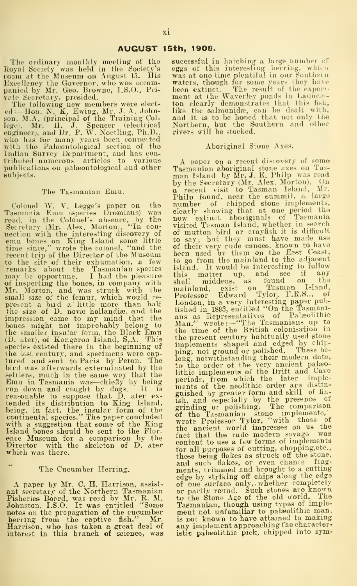The ordinary monthly meeting of the Koyal Society was held in the Society's room at the Museum on August 15. His

Excellency the Governor, who was accom-<br>panied by Mr. Geo. Browne, I.S.O., Pri-<br>panied by Mr. Geo. Browne, I.S.O., Pri-<br>rete Secretary, presided.<br>d:--Hon. N. K. Ewing, Mr. J. A. John-<br>like<br>ed:--Hon. N. (principal of the Tr Indian Survey Department, and has contributed numerous articles to various publications on palseontological and other subjects.

## The Tasmauiau Emu.

Colonel W. V. Legge's paper on the nun<br>Tasmania Emu (species Dromiaus) was clear<br>read, in the Colonel's absence, by the now<br>Secretary (Mr. Alex. Morton), "In con- visi nection with the interesting discovery of emu bones on King Island some little time since," wrote the colonel, "and the recent trip of the Director of the Museum to the site of their exhumation, a few to remarks about the Tasmanian species islamay be opportune. I had the pleasure this of inspecting the bones, in company with Mr. Morton, and was struck with the mall size of the femur, which would re-<br>present a bird a ' little more than half the<br>the size of D. novæ hollandiæ, and the this impression came to my mind that the ansat the smaller insular form, the Black Emu the the smaller insular form, the Black Emu the the pecies existed there in the beginning of  $\begin{array}{ll} \text{in } \{0, \text{ at } n\} \ \text{in } \{0, \text{ at } n\} \end{array$ the last century, and specimens were cap-<br>tured and sent to Paris by Peron. The lor<br>bird was afterwards exterminated by the to settlers, much in the same way that the Emu in Tasmania was—chiefly by being run down and caught by dogs. It is reasonable to suppose that D, ater ex-<br>tended its distribution to King Island, ish,<br>being, in fact, the insular form of the grir<br>continental species." The paper concluded of<br>with a suggestion that some of the King<br>Island ence Museum for a comparison by the  $\frac{180}{100}$ <br>Director with the skeleton of D. ater which was there.

## The Cucumber Herring.

A paper by Mr. C. H. Harrison, assist-<br>ant secretary of the Northern Tasmanian or prisheries Board, was read by Mr. R. M. to t<br>Johnston, I.S.O. It was entitled "Some Tas notes on the propagation of the cucumber<br>herring from the captive fish." Mr. is r<br>Harrison, who has taken a great deal of<br>interest in this branch of science, was isti

successful in hatching a large number of eggs of this interesting herring, which<br>was at one time plentiful in our Southein waters, though for some years they have<br>been extinct. The result of the experiment at the Waverley ponds in Launce-<br>ton clearly demonstrates that this fish,<br>like the salmonidie, can he dealt with, and itis to be honed that not only the Northern, but the Southern and other rivers will be stocked.

## Aboriginal Stone Axes.

A paper on a recent discovery of some<br>Tasmanian aboriginal stone axes on Tas-<br>man Island by Mr. J. E. Philp was read<br>by the Secretary (Mr. Alex. Morton). (Jn<br>a recent visit to Tasman Island, Mr. Philp found, near the summit, a large<br>number of chipped stone implements, clearlv showing that at one period the now extinct aboriginals of Tasmania visited Tasman Island, whether in search of mutton bird or crayfish it is difficult to say; bat they must have made us© of their very rude canoes, known to have been used by them on the East Coast, to go from the mainland to the adjaoent island. It would be interesting to follow<br>this matter up, and see if any<br>shell middens, as found on the<br>mainland, exist on Tasman Island.<br>Professor Edward Tylor, F.R.S.., of London, in a very interesting paper pub-lished in 1893, entitled "On the Tasmani-aus as Eepresentatives of Palseolithio Man," wrote:—"The Tasmanians up to the time of the British colonisation in the present century habitually used stone implements shaped and edged by chip-<br>ping, not ground or polished. These be-<br>long, notwithstanding their modern date, to the order of the very ancient palaeo-<br>lithic implements of the Drift and Cave<br>periods, from which the later imple-<br>ments of the neolithic order are distinguished bv greater form and skill of fin ish, and especially by the presence of grinding or polishing. The comparison of the Tasmanian stone implements,' wrote Professor Tylor, "with those of the ancient world impresses on us the fact that the rude modern savage was content to use a few forms of implements for all purposes of cutting, chopping.etc, these being flakes as struck off the stcne, and such flakes, or even chance frag-<br>ments, trimmed and brought to a cutting<br>edge by striking off chips along the edge of one surface only,, whether completely or partlv round. Such stones are knowu to the Stone Age of the old world. The Tasmanian, though using types of imple-<br>ment not unfamiliar to palæolithic man,<br>is not known to have attained to making any implement approaching the characteristic palaeolithic pick, chipped into sym